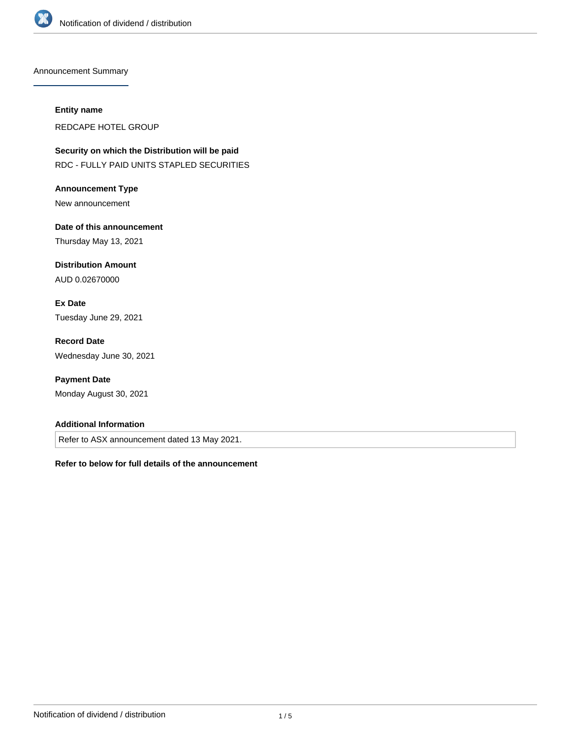

Announcement Summary

#### **Entity name**

REDCAPE HOTEL GROUP

**Security on which the Distribution will be paid** RDC - FULLY PAID UNITS STAPLED SECURITIES

**Announcement Type** New announcement

**Date of this announcement** Thursday May 13, 2021

**Distribution Amount** AUD 0.02670000

**Ex Date** Tuesday June 29, 2021

**Record Date** Wednesday June 30, 2021

**Payment Date** Monday August 30, 2021

## **Additional Information**

Refer to ASX announcement dated 13 May 2021.

**Refer to below for full details of the announcement**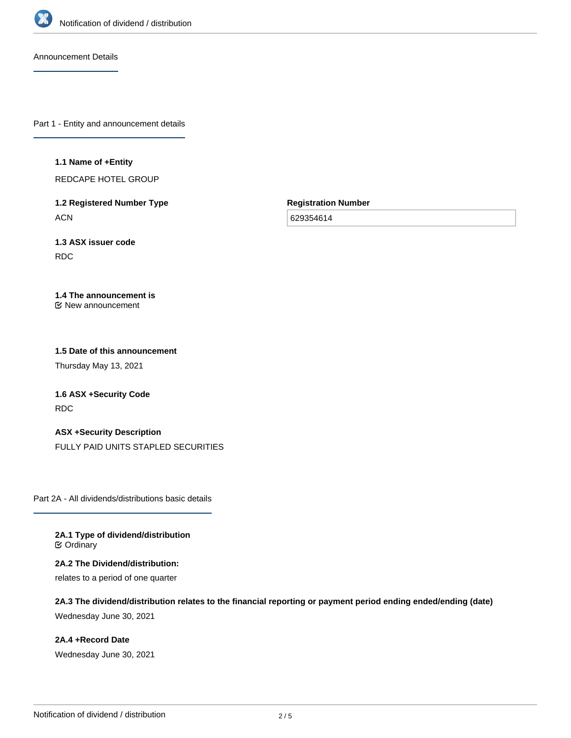

Announcement Details

Part 1 - Entity and announcement details

**1.1 Name of +Entity**

REDCAPE HOTEL GROUP

**1.2 Registered Number Type ACN** 

**Registration Number**

629354614

**1.3 ASX issuer code** RDC

#### **1.4 The announcement is** New announcement

# **1.5 Date of this announcement**

Thursday May 13, 2021

**1.6 ASX +Security Code** RDC

# **ASX +Security Description**

FULLY PAID UNITS STAPLED SECURITIES

Part 2A - All dividends/distributions basic details

**2A.1 Type of dividend/distribution ⊘** Ordinary

**2A.2 The Dividend/distribution:** relates to a period of one quarter

**2A.3 The dividend/distribution relates to the financial reporting or payment period ending ended/ending (date)** Wednesday June 30, 2021

**2A.4 +Record Date** Wednesday June 30, 2021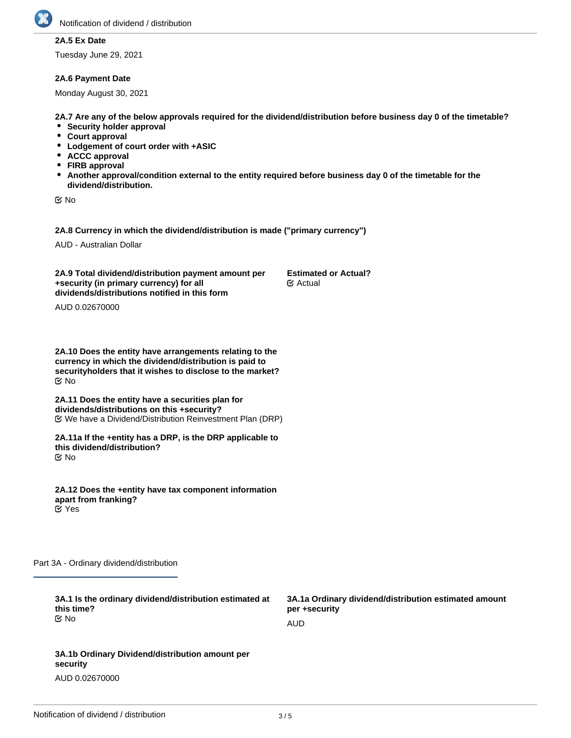

# **2A.5 Ex Date**

Tuesday June 29, 2021

#### **2A.6 Payment Date**

Monday August 30, 2021

**2A.7 Are any of the below approvals required for the dividend/distribution before business day 0 of the timetable?**

- **•** Security holder approval
- **Court approval**
- **Lodgement of court order with +ASIC**
- **ACCC approval**
- **FIRB approval**
- **Another approval/condition external to the entity required before business day 0 of the timetable for the dividend/distribution.**

No

**2A.8 Currency in which the dividend/distribution is made ("primary currency")**

AUD - Australian Dollar

**2A.9 Total dividend/distribution payment amount per +security (in primary currency) for all dividends/distributions notified in this form Estimated or Actual?** Actual

AUD 0.02670000

**2A.10 Does the entity have arrangements relating to the currency in which the dividend/distribution is paid to securityholders that it wishes to disclose to the market?** No

**2A.11 Does the entity have a securities plan for dividends/distributions on this +security?** We have a Dividend/Distribution Reinvestment Plan (DRP)

**2A.11a If the +entity has a DRP, is the DRP applicable to this dividend/distribution?** No

**2A.12 Does the +entity have tax component information apart from franking?** Yes

Part 3A - Ordinary dividend/distribution

| 3A.1 Is the ordinary dividend/distribution estimated at<br>this time? | 3A.1a Ordinary dividend/distribution estimated amount<br>per +security |
|-----------------------------------------------------------------------|------------------------------------------------------------------------|
| ©⁄ No                                                                 | AUD                                                                    |
|                                                                       |                                                                        |
| 3A.1b Ordinary Dividend/distribution amount per<br>security           |                                                                        |

AUD 0.02670000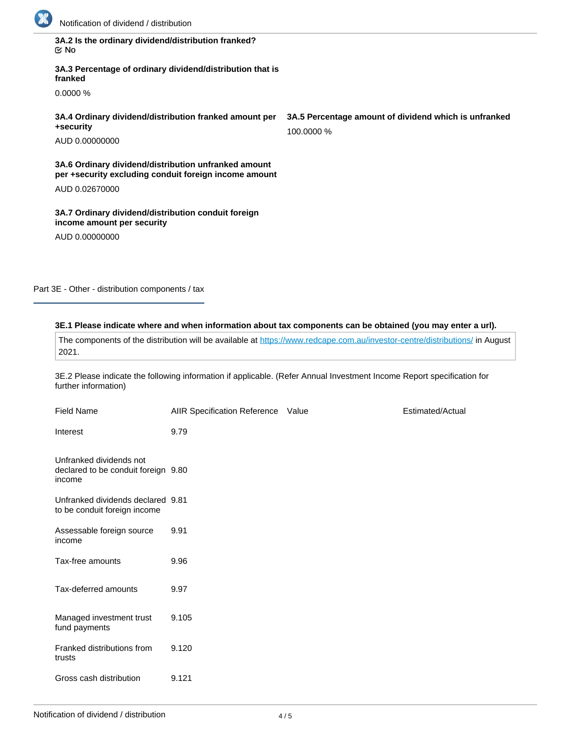

| 3A.2 Is the ordinary dividend/distribution franked? |  |
|-----------------------------------------------------|--|
| ା ⊠                                                 |  |

**3A.3 Percentage of ordinary dividend/distribution that is franked**

0.0000 %

**3A.4 Ordinary dividend/distribution franked amount per +security**

AUD 0.00000000

**3A.6 Ordinary dividend/distribution unfranked amount per +security excluding conduit foreign income amount**

AUD 0.02670000

**3A.7 Ordinary dividend/distribution conduit foreign income amount per security**

AUD 0.00000000

Part 3E - Other - distribution components / tax

## **3E.1 Please indicate where and when information about tax components can be obtained (you may enter a url).**

The components of the distribution will be available at <https://www.redcape.com.au/investor-centre/distributions/>in August 2021.

3E.2 Please indicate the following information if applicable. (Refer Annual Investment Income Report specification for further information)

| <b>Field Name</b>                                                        | AIIR Specification Reference Value | Estimated/Actual |
|--------------------------------------------------------------------------|------------------------------------|------------------|
| Interest                                                                 | 9.79                               |                  |
| Unfranked dividends not<br>declared to be conduit foreign 9.80<br>income |                                    |                  |
| Unfranked dividends declared 9.81<br>to be conduit foreign income        |                                    |                  |
| Assessable foreign source<br>income                                      | 9.91                               |                  |
| Tax-free amounts                                                         | 9.96                               |                  |
| Tax-deferred amounts                                                     | 9.97                               |                  |
| Managed investment trust<br>fund payments                                | 9.105                              |                  |
| Franked distributions from<br>trusts                                     | 9.120                              |                  |
| Gross cash distribution                                                  | 9.121                              |                  |

**3A.5 Percentage amount of dividend which is unfranked** 100.0000 %